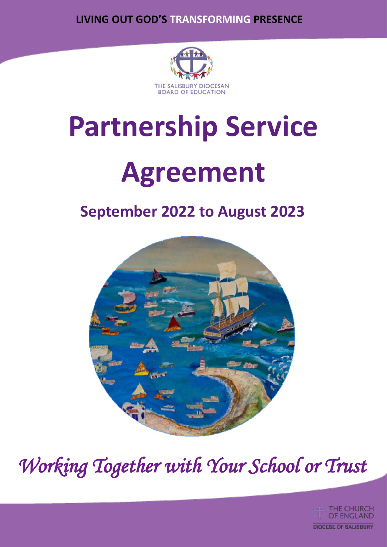**LIVING OUT GOD'S TRANSFORMING PRESENCE**



# **Partnership Service**

## **Agreement**

## **September 2022 to August 2023**



*Working Together with Your School or Trust* 

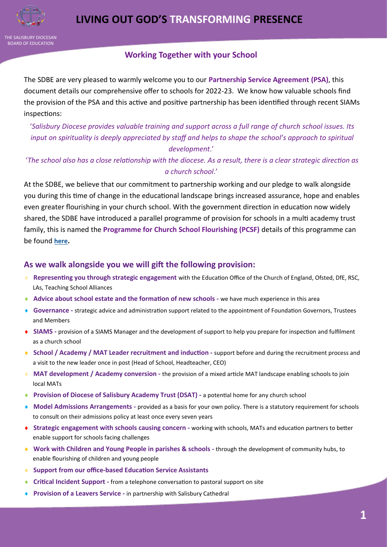

THE SALISBURY DIOCESAN BOARD OF EDUCATION

#### **Working Together with your School**

The SDBE are very pleased to warmly welcome you to our **Partnership Service Agreement (PSA)**, this document details our comprehensive offer to schools for 2022-23. We know how valuable schools find the provision of the PSA and this active and positive partnership has been identified through recent SIAMs inspections:

'*Salisbury Diocese provides valuable training and support across a full range of church school issues. Its input on spirituality is deeply appreciated by staff and helps to shape the school's approach to spiritual development*.'

'*The school also has a close relationship with the diocese. As a result, there is a clear strategic direction as a church school*.'

At the SDBE, we believe that our commitment to partnership working and our pledge to walk alongside you during this time of change in the educational landscape brings increased assurance, hope and enables even greater flourishing in your church school. With the government direction in education now widely shared, the SDBE have introduced a parallel programme of provision for schools in a multi academy trust family, this is named the **Programme for Church School Flourishing (PCSF)** details of this programme can be found **[here](https://youtu.be/kOtW-SHKZuE).** 

#### **As we walk alongside you we will gift the following provision:**

- **Representing you through strategic engagement** with the Education Office of the Church of England, Ofsted, DfE, RSC, LAs, Teaching School Alliances
- **Advice about school estate and the formation of new schools -** we have much experience in this area
- ◆ **Governance** strategic advice and administration support related to the appointment of Foundation Governors, Trustees and Members
- **SIAMS -** provision of a SIAMS Manager and the development of support to help you prepare for inspection and fulfilment as a church school
- ◆ **School / Academy / MAT Leader recruitment and induction** support before and during the recruitment process and a visit to the new leader once in post (Head of School, Headteacher, CEO)
- **MAT development / Academy conversion -** the provision of a mixed article MAT landscape enabling schools to join local MATs
- ◆ **Provision of Diocese of Salisbury Academy Trust (DSAT) a potential home for any church school**
- **Model Admissions Arrangements -** provided as a basis for your own policy. There is a statutory requirement for schools to consult on their admissions policy at least once every seven years
- **Strategic engagement with schools causing concern -** working with schools, MATs and education partners to better enable support for schools facing challenges
- **Work with Children and Young People in parishes & schools -** through the development of community hubs, to enable flourishing of children and young people
- **Support from our office-based Education Service Assistants**
- **Critical Incident Support -** from a telephone conversation to pastoral support on site
- **Provision of a Leavers Service -** in partnership with Salisbury Cathedral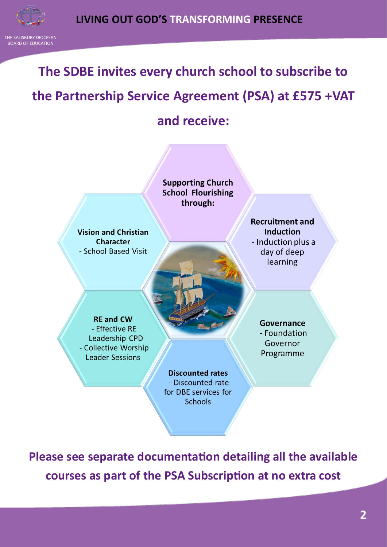THE SALISBURY DIOCESAN BOARD OF EDUCATION

### **The SDBE invites every church school to subscribe to**

## **the Partnership Service Agreement (PSA) at £575 +VAT and receive:**



**Please see separate documentation detailing all the available courses as part of the PSA Subscription at no extra cost**